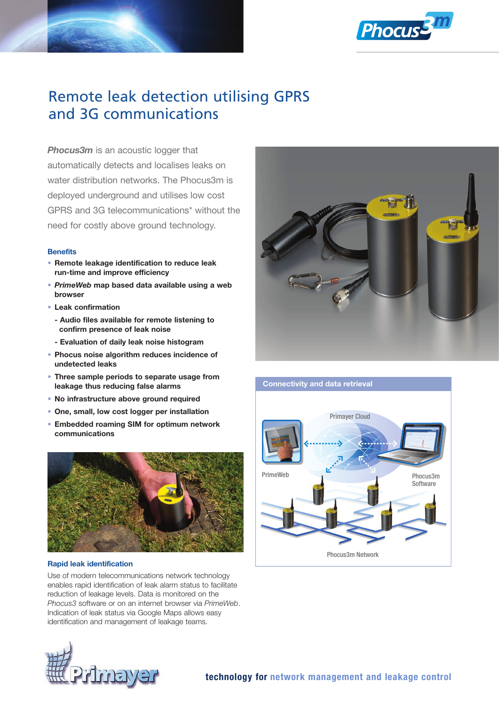

# Remote leak detection utilising GPRS and 3G communications

**Phocus3m** is an acoustic logger that automatically detects and localises leaks on water distribution networks. The Phocus3m is deployed underground and utilises low cost GPRS and 3G telecommunications\* without the need for costly above ground technology.

## **Benefits**

- Remote leakage identification to reduce leak run-time and improve efficiency
- *PrimeWeb* map based data available using a web browser
- Leak confirmation
	- Audio files available for remote listening to confirm presence of leak noise
	- Evaluation of daily leak noise histogram
- Phocus noise algorithm reduces incidence of undetected leaks
- Three sample periods to separate usage from leakage thus reducing false alarms
- No infrastructure above ground required
- One, small, low cost logger per installation
- Embedded roaming SIM for optimum network communications



# Rapid leak identification

Use of modern telecommunications network technology enables rapid identification of leak alarm status to facilitate reduction of leakage levels. Data is monitored on the *Phocus3* software or on an internet browser via *PrimeWeb*. Indication of leak status via Google Maps allows easy identification and management of leakage teams.